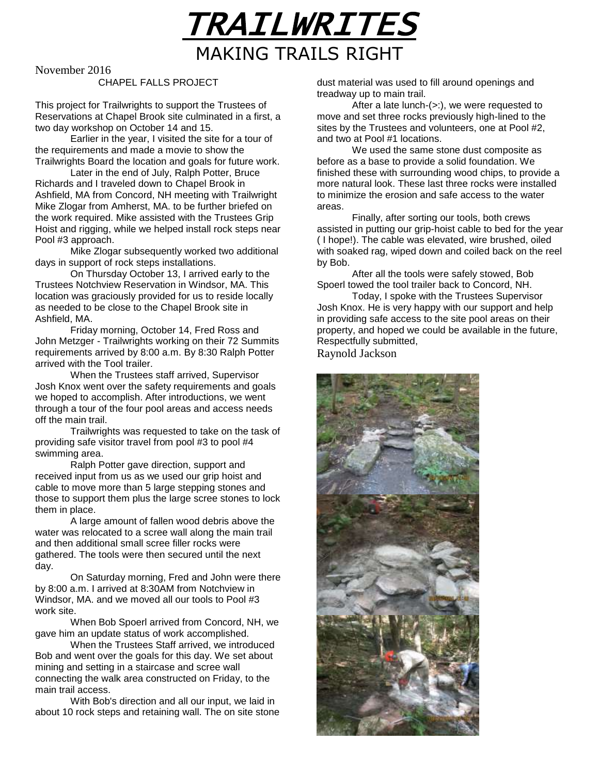

November 2016

#### CHAPEL FALLS PROJECT

This project for Trailwrights to support the Trustees of Reservations at Chapel Brook site culminated in a first, a two day workshop on October 14 and 15.

Earlier in the year, I visited the site for a tour of the requirements and made a movie to show the Trailwrights Board the location and goals for future work.

Later in the end of July, Ralph Potter, Bruce Richards and I traveled down to Chapel Brook in Ashfield, MA from Concord, NH meeting with Trailwright Mike Zlogar from Amherst, MA. to be further briefed on the work required. Mike assisted with the Trustees Grip Hoist and rigging, while we helped install rock steps near Pool #3 approach.

Mike Zlogar subsequently worked two additional days in support of rock steps installations.

On Thursday October 13, I arrived early to the Trustees Notchview Reservation in Windsor, MA. This location was graciously provided for us to reside locally as needed to be close to the Chapel Brook site in Ashfield, MA.

Friday morning, October 14, Fred Ross and John Metzger - Trailwrights working on their 72 Summits requirements arrived by 8:00 a.m. By 8:30 Ralph Potter arrived with the Tool trailer.

When the Trustees staff arrived, Supervisor Josh Knox went over the safety requirements and goals we hoped to accomplish. After introductions, we went through a tour of the four pool areas and access needs off the main trail.

Trailwrights was requested to take on the task of providing safe visitor travel from pool #3 to pool #4 swimming area.

Ralph Potter gave direction, support and received input from us as we used our grip hoist and cable to move more than 5 large stepping stones and those to support them plus the large scree stones to lock them in place.

A large amount of fallen wood debris above the water was relocated to a scree wall along the main trail and then additional small scree filler rocks were gathered. The tools were then secured until the next day.

On Saturday morning, Fred and John were there by 8:00 a.m. I arrived at 8:30AM from Notchview in Windsor, MA. and we moved all our tools to Pool #3 work site.

When Bob Spoerl arrived from Concord, NH, we gave him an update status of work accomplished.

When the Trustees Staff arrived, we introduced Bob and went over the goals for this day. We set about mining and setting in a staircase and scree wall connecting the walk area constructed on Friday, to the main trail access.

With Bob's direction and all our input, we laid in about 10 rock steps and retaining wall. The on site stone dust material was used to fill around openings and treadway up to main trail.

After a late lunch-(>:), we were requested to move and set three rocks previously high-lined to the sites by the Trustees and volunteers, one at Pool #2, and two at Pool #1 locations.

We used the same stone dust composite as before as a base to provide a solid foundation. We finished these with surrounding wood chips, to provide a more natural look. These last three rocks were installed to minimize the erosion and safe access to the water areas.

Finally, after sorting our tools, both crews assisted in putting our grip-hoist cable to bed for the year ( I hope!). The cable was elevated, wire brushed, oiled with soaked rag, wiped down and coiled back on the reel by Bob.

After all the tools were safely stowed, Bob Spoerl towed the tool trailer back to Concord, NH.

Today, I spoke with the Trustees Supervisor Josh Knox. He is very happy with our support and help in providing safe access to the site pool areas on their property, and hoped we could be available in the future, Respectfully submitted,

Raynold Jackson